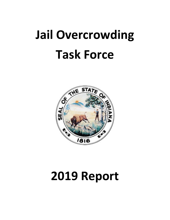# **Jail Overcrowding Task Force**



## **2019 Report**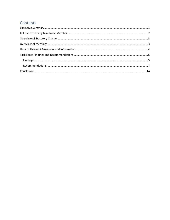#### Contents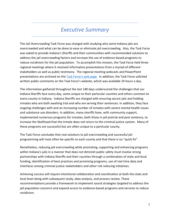#### *Executive Summary*

<span id="page-2-0"></span>The Jail Overcrowding Task Force was charged with studying why some Indiana jails are overcrowded and what can be done to ease or eliminate jail overcrowding. Also, the Task Force was asked to provide Indiana's Sheriffs and their communities with recommended solutions to address the jail overcrowding factors and increase the use of evidence-based programs to reduce recidivism for the jail population. To accomplish this mission, the Task Force held three regional meetings where it received informative presentations from a myriad of different stakeholders as well as public testimony. The regional meeting webcasts and PowerPoint presentations are archived on the [Task Force's web page.](https://www.in.gov/judiciary/iocs/3874.htm) In addition, the Task Force solicited written public comments on the Task Force's website, which was available 24 hours a day.

The information gathered throughout the last 148 days underscored the challenges that our Indiana Sheriffs face every day, some unique to their particular counties and others common to every county in Indiana. Indiana Sheriffs are charged with ensuring secure jails and holding inmates who are both awaiting trial and who are serving their sentences. In addition, they face ongoing challenges with and an increasing number of inmates with severe mental health issues and substance use disorders. In addition, many sheriffs have, with community support, implemented numerous programs for inmates, both those in jail pretrial and post sentence, to increase the likelihood that the inmate does not return to the criminal justice system. Many of these programs are successful but are often unique to a particular county.

The Task Force concludes that real solutions to jail overcrowding and successful jail programming will most often be specific to each county and that there is no "quick fix".

Nonetheless, reducing jail overcrowding while promoting, supporting and enhancing programs within Indiana's jails in a manner that does not diminish public safety must involve strong partnerships with Indiana Sheriffs and their counties through a combination of state and local funding, identification of best practices and promising programs, use of real time data and interfaces among criminal justice stakeholders and other risk reducing initiatives.

Achieving success will require intentional collaboration and coordination at both the state and local level along with subsequent study, data analysis, and process review. These recommendations provide a framework to implement sound strategies targeted to address the jail population concerns and expand access to evidence-based programs and services to reduce recidivism.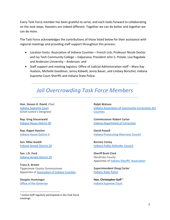Every Task Force member has been grateful to serve, and each looks forward to collaborating on the next steps. Hoosiers are indeed different. Together we can do better and together we can do more.

The Task Force acknowledges the contributions of those listed below for their assistance with regional meetings and providing staff support throughout this process:

- Location hosts: Association of Indiana Counties French Lick; Professor Nicole Doctor and Ivy Tech Community College – Valparaiso; President John S. Pistole, Lisa Ragsdale and Anderson University – Anderson; and
- Staff support and meeting logistics: Office of Judicial Administration staff Mary Kay Hudson, Michelle Goodman, Jenny Kidwell, Jenny Bauer, and Lindsey Borschel; Indiana Supreme Court Sheriffs and Indiana State Police.

#### <span id="page-3-0"></span>*Jail Overcrowding Task Force Members*

**Hon. Steven H. David**, *Chair* [Indiana Supreme Court](https://www.in.gov/judiciary/) (Chief Justice's Designee)

**Rep. Greg Steuerwald** [Indiana House District 40](https://www.indianahouserepublicans.com/members/leadership/greg-steuerwald/)

**Rep. Ragen Hatcher** [Indiana House District 3](https://indianahousedemocrats.org/members/ragen-hatcher)

**Sen. Mike Gaskill** [Indiana Senate District 26](https://www.indianasenaterepublicans.com/gaskill)

**Sen. J.D. Ford** [Indiana Senate District 29](https://www.indianasenatedemocrats.org/senators/s29/)

**Tracy A. Brown** Tippecanoe County Commissioner Appointee of Association of [Indiana Counties](https://www.indianacounties.org/)

**Douglas Huntsinger** [Office of the Governor](https://www.in.gov/recovery/?utm_source=Gov&utm_medium=website&utm_campaign=Recovery&utm_term=&utm_content=govbanner)

**Ralph Watson** [Indiana Association of Community Corrections Act](https://www.iaccac.net/)  **[Counties](https://www.iaccac.net/)** 

**Commissioner Robert Carter** [Indiana Department of Correction](https://www.in.gov/idoc/)

**David Powell** [Indiana Prosecuting Attorneys Council](https://www.in.gov/ipac/)

**Bernice Corley** [Indiana Public Defender Council](https://www.in.gov/ipdc/)

**Sheriff Brett Clark** Hendricks County Appointee o[f Indiana Sheriffs' Association](https://indianasheriffs.org/)

**Superintendent Doug Carter** [Indiana State Police](https://www.in.gov/isp/)

**Hon. Christopher Goff [1](#page-3-1)** [Indiana Supreme Court](https://www.in.gov/judiciary/)

<span id="page-3-1"></span> $1$  Justice Goff regularly participated in the Task Force meetings.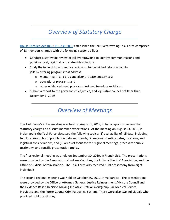## *Overview of Statutory Charge*

<span id="page-4-0"></span>[House Enrolled Act 1065; P.L. 239-2019](http://iga.in.gov/legislative/2019/bills/house/1065#document-3947515b) established the Jail Overcrowding Task Force comprised of 13 members charged with the following responsibilities:

- Conduct a statewide review of jail overcrowding to identify common reasons and possible local, regional, and statewide solutions.
- Study the issue of how to reduce recidivism for convicted felons in county jails by offering programs that address:
	- o mentalhealth and drugand alcoholtreatmentservices;
	- o educational programs; and
	- o other evidence-based programs designed toreduce recidivism.
- <span id="page-4-1"></span>• Submit a report to the governor, chief justice, and legislative council not later than December 1, 2019.

### *Overview of Meetings*

The Task Force's initial meeting was held on August 1, 2019, in Indianapolis to review the statutory charge and discuss member expectations. At the meeting on August 23, 2019, in Indianapolis the Task Force discussed the following topics: (1) availability of jail data, including two local examples of population data and trends, (2) regional meeting dates, locations, and logistical considerations, and (3) areas of focus for the regional meetings, process for public testimony, and specific presentation topics.

The first regional meeting was held on September 30, 2019, in French Lick. The presentations were provided by the Association of Indiana Counties, the Indiana Sheriffs' Association, and the Office of Judicial Administration. The Task Force also received public testimony from eight individuals.

The second regional meeting was held on October 30, 2019, in Valparaiso. The presentations were provided by the Office of Attorney General, Justice Reinvestment Advisory Council and the Evidence Based Decision Making Initiative Pretrial Workgroup, Jail Medical Service Providers, and the Porter County Criminal Justice System. There were also two individuals who provided public testimony.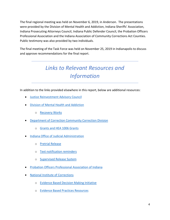The final regional meeting was held on November 6, 2019, in Anderson. The presentations were provided by the Division of Mental Health and Addiction, Indiana Sheriffs' Association, Indiana Prosecuting Attorneys Council, Indiana Public Defender Council, the Probation Officers Professional Association and the Indiana Association of Community Corrections Act Counties. Public testimony was also provided by two individuals.

<span id="page-5-0"></span>The final meeting of the Task Force was held on November 25, 2019 in Indianapolis to discuss and approve recommendations for the final report.

## *Links to Relevant Resources and Information*

In addition to the links provided elsewhere in this report, below are additional resources:

- [Justice Reinvestment Advisory Council](https://www.in.gov/justice/)
- [Division of Mental Health and Addiction](https://www.in.gov/fssa/dmha/index.htm)
	- o [Recovery Works](https://www.in.gov/fssa/dmha/2929.htm)
- Department of Correction [Community Correction Division](https://www.in.gov/idoc/2320.htm)
	- o [Grants and HEA 1006 Grants](https://www.in.gov/idoc/3571.htm)
- [Indiana Office of Judicial Administration](https://www.in.gov/judiciary/)
	- o [Pretrial Release](https://www.in.gov/judiciary/iocs/3721.htm)
	- o [Text notification reminders](https://www.in.gov/judiciary/admin/3633.htm)
	- o [Supervised Release System](https://www.in.gov/idoc/files/Supervised%20Release%20System%20-%20One%20Pager%20-%20FINAL.pdf)
- [Probation Officers Professional Association of Indiana](http://gopopai.org/)
- [National Institute of Corrections](https://nicic.gov/)
	- o [Evidence Based Decision Making Initiative](https://info.nicic.gov/ebdm/)
	- o [Evidence Based Practices Resources](https://nicic.gov/evidence-based-practices-ebp)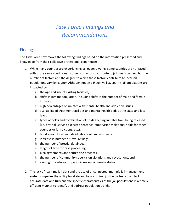## *Task Force Findings and Recommendations*

#### <span id="page-6-1"></span><span id="page-6-0"></span>Findings

The Task Force now makes the following findings based on the information presented and knowledge from their collective professional experience:

- 1. While many counties are experiencing jail overcrowding, some counties are not faced with those same conditions. Numerous factors contribute to jail overcrowding, but the number of factors and the degree to which these factors contribute to local jail populations vary by county. Although not an exhaustive list, county jail populations are impacted by:
	- a. the age and size of existing facilities,
	- b. shifts in inmate population, including shifts in the number of male and female inmates,
	- c. high percentages of inmates with mental health and addiction issues,
	- d. availability of treatment facilities and mental health beds at the state and local level,
	- e. types of holds and combination of holds keeping inmates from being released (i.e. pretrial, serving executed sentence, supervision violations, holds for other counties or jurisdictions, etc.),
	- f. bond amounts when individuals are of limited means;
	- g. increase in number of Level 6 filings,
	- h. the number of pretrial detainees,
	- i. length of time for case processing,
	- j. plea agreements and sentencing practices,
	- k. the number of community supervision violations and revocations, and
	- l. varying procedures for periodic review of inmate status.
- 2. The lack of real time jail data and the use of unconnected, multiple jail management systems impedes the ability for state and local criminal justice partners to collect accurate data and fully analyze specific characteristics of the jail populations in a timely, efficient manner to identify and address population trends.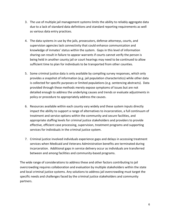- 3. The use of multiple jail management systems limits the ability to reliably aggregate data due to a lack of standard data definitions and standard reporting requirements as well as various data entry practices.
- 4. The data systems in use by the jails, prosecutors, defense attorneys, courts, and supervision agencies lack connectivity that could enhance communication and knowledge of inmates' status within the system. Gaps in this level of information sharing can result in failure to appear warrants if courts cannot verify the person is being held in another county jail or court hearings may need to be continued to allow sufficient time to plan for individuals to be transported from other counties.
- 5. Some criminal justice data is only available by compiling survey responses, which only provides a snapshot of information (e.g. jail population characteristics) while other data is collected for specific purposes or limited populations (e.g. sentencing abstracts). Data provided through these methods merely expose symptoms of issues but are not detailed enough to address the underlying causes and trends or evaluate adjustments in policy or procedure to appropriately address the causes.
- 6. Resources available within each county vary widely and these system inputs directly impact the ability to support a range of alternatives to incarceration, a full continuum of treatment and service options within the community and secure facilities, and appropriate staffing levels for criminal justice stakeholders and providers to provide effective, efficient case processing, supervision, treatment programs and supporting services for individuals in the criminal justice system.
- 7. Criminal justice involved individuals experience gaps and delays in accessing treatment services when Medicaid and Veterans Administration benefits are terminated during incarceration. Additional gaps in service delivery occur as individuals are transferred between and among facilities and community-based programs.

The wide range of considerations to address these and other factors contributing to jail overcrowding requires collaboration and evaluation by multiple stakeholders within the state and local criminal justice systems. Any solutions to address jail overcrowding must target the specific needs and challenges faced by the criminal justice stakeholders and community partners.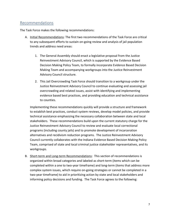#### <span id="page-8-0"></span>Recommendations

The Task Force makes the following recommendations:

- A. Initial Recommendations: The first two recommendations of the Task Force are critical to any subsequent efforts to sustain on-going review and analysis of jail population trends and address need areas:
	- 1. The General Assembly should enact a legislative proposal from the Justice Reinvestment Advisory Council, which is supported by the Evidence Based Decision Making Policy Team, to formally incorporate Evidence Based Decision Making Team and accompanying workgroups into the Justice Reinvestment Advisory Council structure.
	- 2. This Jail Overcrowding Task Force should transition to a workgroup under the Justice Reinvestment Advisory Council to continue evaluating and assessing jail overcrowding and related issues, assist with identifying and implementing evidence based best practices, and providing education and technical assistance to counties.

Implementing these recommendations quickly will provide a structure and framework to establish best practices, conduct system reviews, develop model policies, and provide technical assistance emphasizing the necessary collaboration between state and local stakeholders. These recommendations build upon the current statutory charge for the Justice Reinvestment Advisory Council to review and evaluate local correctional programs (including county jails) and to promote development of incarceration alternatives and recidivism reduction programs. The Justice Reinvestment Advisory Council currently collaborates with the Indiana Evidence Based Decision Making Policy Team, comprised of state and local criminal justice stakeholder representatives, and its workgroups.

B. Short-term and Long-term Recommendations: This section of recommendations is organized within broad categories and labeled as short-term (items which can be completed within a one to two-year timeframe) and long-term (items that address more complex system issues, which require on-going strategies or cannot be completed in a two-year timeframe) to aid in prioritizing action by state and local stakeholders and informing policy decisions and funding. The Task Force agrees to the following: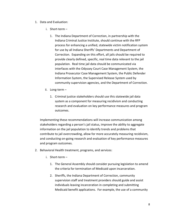- 1. Data and Evaluation:
	- i. Short-term
		- 1. The Indiana Department of Correction, in partnership with the Indiana Criminal Justice Institute, should continue with the RFP process for enhancing a unified, statewide victim notification system for use by all Indiana Sheriffs' Departments and Department of Correction. Expanding on this effort, all jails should be required to provide clearly defined, specific, real time data relevant to the jail population. Real time jail data should be communicated via interfaces with the Odyssey Court Case Management System, the Indiana Prosecutor Case Management System, the Public Defender Information System, the Supervised Release System used by community supervision agencies, and the Department of Correction.
	- ii. Long-term
		- 1. Criminal justice stakeholders should use this statewide jail data system as a component for measuring recidivism and conducting research and evaluation on key performance measures and program outcomes.

Implementing these recommendations will increase communication among stakeholders regarding a person's jail status, improve the ability to aggregate information on the jail population to identify trends and problems that contribute to jail overcrowding, allow for more accurately measuring recidivism, and conducting on-going research and evaluation of key performance measures and program outcomes.

- 2. Behavioral Health treatment, programs, and services:
	- i. Short-term
		- 1. The General Assembly should consider pursuing legislation to amend the criteria for termination of Medicaid upon incarceration.
		- 2. Sheriffs, the Indiana Department of Correction, community supervision staff and treatment providers should guide and assist individuals leaving incarceration in completing and submitting Medicaid benefit applications. For example, the use of a community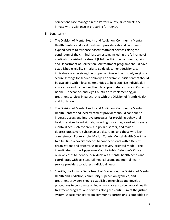corrections case manager in the Porter County jail connects the inmate with assistance in preparing for reentry.

- ii. Long-term
	- 1. The Division of Mental Health and Addiction, Community Mental Health Centers and local treatment providers should continue to expand access to evidence based treatment services along the continuum of the criminal justice system, including the full range of medication assisted treatment (MAT), within the community, jails, and Department of Correction. All treatment programs should have established eligibility criteria to guide placement decisions, so individuals are receiving the proper services without solely relying on secure settings for service delivery. For example, crisis centers should be available within local communities to help stabilize individuals in acute crisis and connecting them to appropriate resources. Currently, Boone, Tippecanoe, and Vigo Counties are implementing jail treatment services in partnership with the Division of Menth Health and Addiction.
	- 2. The Division of Mental Health and Addiction, Community Mental Health Centers and local treatment providers should continue to increase access and improve processes for providing behavioral health services to individuals, including those diagnosed with severe mental illness (schizophrenia, bipolar disorder, and major depression), severe substance use disorders, and those who lack competency. For example, Marion County Mental Health Court has two full time recovery coaches to connect clients with different organizations and systems using a recovery-oriented model. The investigator for the Tippecanoe County Public Defender's Office reviews cases to identify individuals with mental health needs and coordinates with jail staff, jail medical team, and mental health service providers to address individual needs.
	- 3. Sheriffs, the Indiana Department of Correction, the Division of Mental Health and Addiction, community supervision agencies, and treatment providers should establish partnerships and develop procedures to coordinate an individual's access to behavioral health treatment programs and services along the continuum of the justice system. A case manager from community corrections is embedded in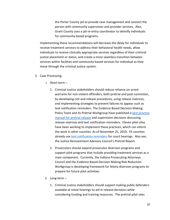the Porter County jail to provide case management and connect the person with community supervision and provider services. Also, Grant County uses a jail re-entry coordinator to identify individuals for community-based programs.

Implementing these recommendations will decrease the delay for individuals to receive treatment services to address their behavioral health needs, allow individuals to receive clinically appropriate services regardless of their criminal justice placement or status, and create a more seamless transition between services within facilities and community-based services for individual as they move through the criminal justice system.

- 3. Case Processing:
	- i. Short-term
		- 1. Criminal Justice stakeholders should reduce reliance on arrest warrants for non-violent offenders, both pretrial and post-conviction, by developing cite and release procedures, using release matrices, and implementing strategies to prevent failures to appear such as text notification reminders. The Evidence Based Decision Making Policy Team and its Pretrial Workgroup have published a best practice [manual for pretrial release](https://www.in.gov/judiciary/iocs/files/pretrial-work-group-practices-manual.pdf) and supervision decisions discussing release matrices and text notification reminders. Eleven pilot sites have been working to implement these practices, which can inform the work in other counties. As of November 25, 2019, 55 counties already use [text notification reminders](https://www.in.gov/judiciary/admin/3633.htm) for court hearings. Also see, the Justice Reinvestment Advisory Council's Pretrial Report.
		- 2. Prosecutors should expand prosecutor diversion programs and support pilot programs that include providing treatment services as a main component. Currently, the Indiana Prosecuting Attorneys Council and the Evidence Based Decision Making Risk Reduction Workgroup is developing framework for felony diversion programs to prepare for future pilot activities.
	- ii. Long-term
		- 1. Criminal Justice stakeholders should support making public defenders available at initial hearings to aid in release decisions while considering funding and training resources. The pretrial pilot sites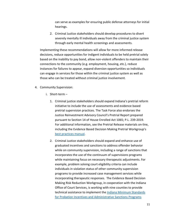can serve as examples for ensuring public defense attorneys for initial hearings.

2. Criminal Justice stakeholders should develop procedures to divert severely mentally ill individuals away from the criminal justice system through early mental health screenings and assessments.

Implementing these recommendations will allow for more informed release decisions, reduce opportunities for indigent individuals to be held pretrial solely based on the inability to pay bond, allow non-violent offenders to maintain their connections to the community (e.g. employment, housing, etc.), reduce instances for failures to appear, expand diversion opportunities so individuals can engage in services for those within the criminal justice system as well as those who can be treated without criminal justice involvement.

- 4. Community Supervision:
	- i. Short-term
		- 1. Criminal justice stakeholders should expand Indiana's pretrial reform initiative to include the use of assessments and evidence based pretrial supervision practices. The Task Force also endorses the Justice Reinvestment Advisory Council's Pretrial Report prepared pursuant to Section 14 of House Enrolled Act 1065; P.L. 239-2019. For additional information, see the Pretrial Release materials on-line, including the Evidence Based Decision Making Pretrial Workgroup's [best practices manual.](https://www.in.gov/judiciary/iocs/files/pretrial-work-group-practices-manual.pdf)
		- 2. Criminal Justice stakeholders should expand and enhance use of graduated incentives and sanctions to address offender behavior while on community supervision, including a range of sanctions that incorporates the use of the continuum of supervisions programs while maintaining focus on necessary therapeutic adjustments. For example, problem solving court eligibility criteria can include individuals in violation status of other community supervision programs to provide increased case management services while incorporating therapeutic responses. The Evidence Based Decision Making Risk Reduction Workgroup, in cooperation with the Indiana Office of Court Services, is working with nine counties to provide technical assistance to implement the Indiana Minimum Standards [for Probation Incentives and Administrative Sanctions Programs](https://www.in.gov/judiciary/probation/files/prob-standards-incentives.pdf)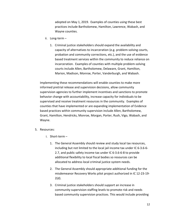adopted on May 1, 2019. Examples of counties using these best practices include Bartholomew, Hamilton, Lawrence, Wabash, and Wayne counties.

- ii. Long-term
	- 1. Criminal justice stakeholders should expand the availability and capacity of alternatives to incarceration (e.g. problem-solving courts, probation and community corrections, etc.), and the use of evidence based treatment services within the community to reduce reliance on incarceration. Examples of counties with multiple problem-solving courts include Allen, Bartholomew, Delaware, Grant, Hamilton, Marion, Madison, Monroe, Porter, Vanderburgh, and Wabash.

Implementing these recommendations will enable counties to make more informed pretrial release and supervision decisions, allow community supervision agencies to further implement incentives and sanctions to promote behavior change with accountability, increase capacity for individuals to be supervised and receive treatment resources in the community. Examples of counties that have implemented or are expanding implementation of Evidence based practices within community supervision include Allen, Bartholomew, Grant, Hamilton, Hendricks, Monroe, Morgan, Porter, Rush, Vigo, Wabash, and Wayne.

#### 5. Resources:

- i. Short-term
	- 1. The General Assembly should review and study local tax resources, including but not limited to the local jail income tax under IC 6-3.6-6- 2.7, and public safety income tax under IC 6-3.6-6-8 to provide additional flexibility to local fiscal bodies so resources can be allocated to address local criminal justice system needs.
	- 2. The General Assembly should appropriate additional funding for the misdemeanor Recovery Works pilot project authorized in IC 12-23-19- 2(d).
	- 3. Criminal justice stakeholders should support an increase in community supervision staffing levels to promote risk and needs based community supervision practices. This would include providing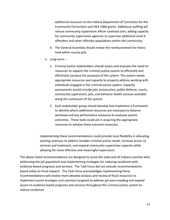additional resources to the Indiana Department of Correction for the Community Corrections and HEA 1006 grants. Additional staffing will reduce community supervision officer caseload sizes, adding capacity for community supervision agencies to supervise additional Level 6 offenders and other offender populations within the community.

- 4. The General Assembly should review the reimbursement for felons held within county jails.
- ii. Long-term
	- 1. Criminal justice stakeholders should assess and evaluate the need for resources to support the criminal justice system to efficiently and effectively carryout the purposes of the system. The system needs appropriate resources and capacity to properly address working with individuals engaged in the criminal justice system. Capacity assessments would include jails, prosecutors, public defense, courts, community supervision, jails, and behavior health services available along the continuum of the system.
	- 2. Each stakeholder group should develop and implement a framework to identify where additional resources are necessary to balance workload and key performance measures to evaluate system outcomes. These tools could aid in acquiring the appropriate resources to achieve these outcome measures.

Implementing these recommendations could provide local flexibility in allocating existing revenues to address broader criminal justice needs, increase access to services and treatment, and expand community supervision capacity while allowing for more effective and meaningful supervision.

The above listed recommendations are designed to assist the state and all Indiana counties with addressing the jail population and implementing strategies for reducing recidivism with evidence-based programs and services. The Task Force did not exclude recommendations based solely on fiscal impacts. The Task Force acknowledges implementing these recommendations will involve more detailed analysis and review of fiscal resources to implement sound strategies and solutions targeted to address jail overcrowding and expand access to evidence-based programs and services throughout the criminal justice system to reduce recidivism.